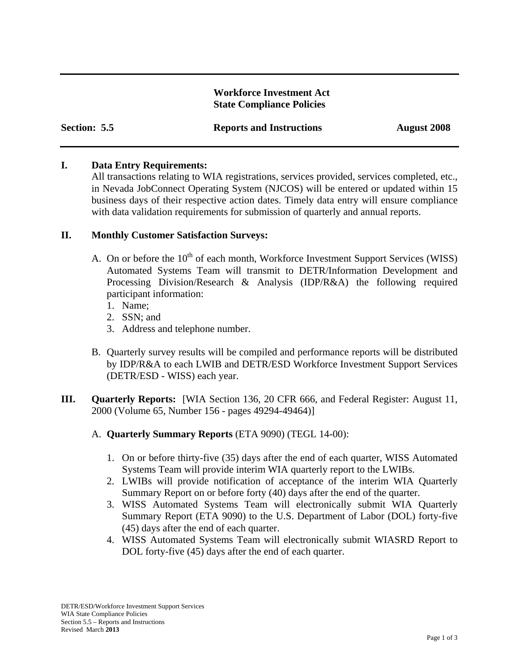### **Workforce Investment Act State Compliance Policies**

| Section: 5.5 |  |
|--------------|--|
|--------------|--|

## **I. Data Entry Requirements:**

All transactions relating to WIA registrations, services provided, services completed, etc., in Nevada JobConnect Operating System (NJCOS) will be entered or updated within 15 business days of their respective action dates. Timely data entry will ensure compliance with data validation requirements for submission of quarterly and annual reports.

## **II. Monthly Customer Satisfaction Surveys:**

- A. On or before the  $10<sup>th</sup>$  of each month, Workforce Investment Support Services (WISS) Automated Systems Team will transmit to DETR/Information Development and Processing Division/Research & Analysis (IDP/R&A) the following required participant information:
	- 1. Name;
	- 2. SSN; and
	- 3. Address and telephone number.
- B. Quarterly survey results will be compiled and performance reports will be distributed by IDP/R&A to each LWIB and DETR/ESD Workforce Investment Support Services (DETR/ESD - WISS) each year.
- **III. Quarterly Reports:** [WIA Section 136, 20 CFR 666, and Federal Register: August 11, 2000 (Volume 65, Number 156 - pages 49294-49464)]
	- A. **Quarterly Summary Reports** (ETA 9090) (TEGL 14-00):
		- 1. On or before thirty-five (35) days after the end of each quarter, WISS Automated Systems Team will provide interim WIA quarterly report to the LWIBs.
		- 2. LWIBs will provide notification of acceptance of the interim WIA Quarterly Summary Report on or before forty (40) days after the end of the quarter.
		- 3. WISS Automated Systems Team will electronically submit WIA Quarterly Summary Report (ETA 9090) to the U.S. Department of Labor (DOL) forty-five (45) days after the end of each quarter.
		- 4. WISS Automated Systems Team will electronically submit WIASRD Report to DOL forty-five (45) days after the end of each quarter.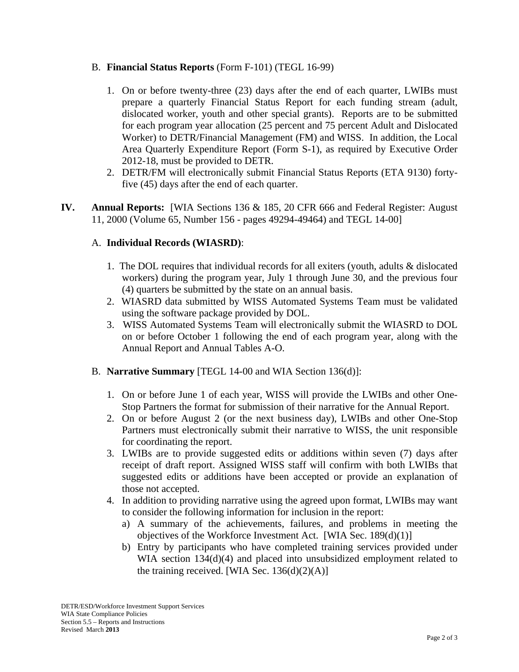# B. **Financial Status Reports** (Form F-101) (TEGL 16-99)

- 1. On or before twenty-three (23) days after the end of each quarter, LWIBs must prepare a quarterly Financial Status Report for each funding stream (adult, dislocated worker, youth and other special grants). Reports are to be submitted for each program year allocation (25 percent and 75 percent Adult and Dislocated Worker) to DETR/Financial Management (FM) and WISS. In addition, the Local Area Quarterly Expenditure Report (Form S-1), as required by Executive Order 2012-18, must be provided to DETR.
- 2. DETR/FM will electronically submit Financial Status Reports (ETA 9130) fortyfive (45) days after the end of each quarter.
- **IV. Annual Reports:** [WIA Sections 136 & 185, 20 CFR 666 and Federal Register: August 11, 2000 (Volume 65, Number 156 - pages 49294-49464) and TEGL 14-00]

## A. **Individual Records (WIASRD)**:

- 1. The DOL requires that individual records for all exiters (youth, adults & dislocated workers) during the program year, July 1 through June 30, and the previous four (4) quarters be submitted by the state on an annual basis.
- 2. WIASRD data submitted by WISS Automated Systems Team must be validated using the software package provided by DOL.
- 3. WISS Automated Systems Team will electronically submit the WIASRD to DOL on or before October 1 following the end of each program year, along with the Annual Report and Annual Tables A-O.
- B. **Narrative Summary** [TEGL 14-00 and WIA Section 136(d)]:
	- 1. On or before June 1 of each year, WISS will provide the LWIBs and other One-Stop Partners the format for submission of their narrative for the Annual Report.
	- 2. On or before August 2 (or the next business day), LWIBs and other One-Stop Partners must electronically submit their narrative to WISS, the unit responsible for coordinating the report.
	- 3. LWIBs are to provide suggested edits or additions within seven (7) days after receipt of draft report. Assigned WISS staff will confirm with both LWIBs that suggested edits or additions have been accepted or provide an explanation of those not accepted.
	- 4. In addition to providing narrative using the agreed upon format, LWIBs may want to consider the following information for inclusion in the report:
		- a) A summary of the achievements, failures, and problems in meeting the objectives of the Workforce Investment Act. [WIA Sec. 189(d)(1)]
		- b) Entry by participants who have completed training services provided under WIA section 134(d)(4) and placed into unsubsidized employment related to the training received. [WIA Sec.  $136(d)(2)(A)$ ]